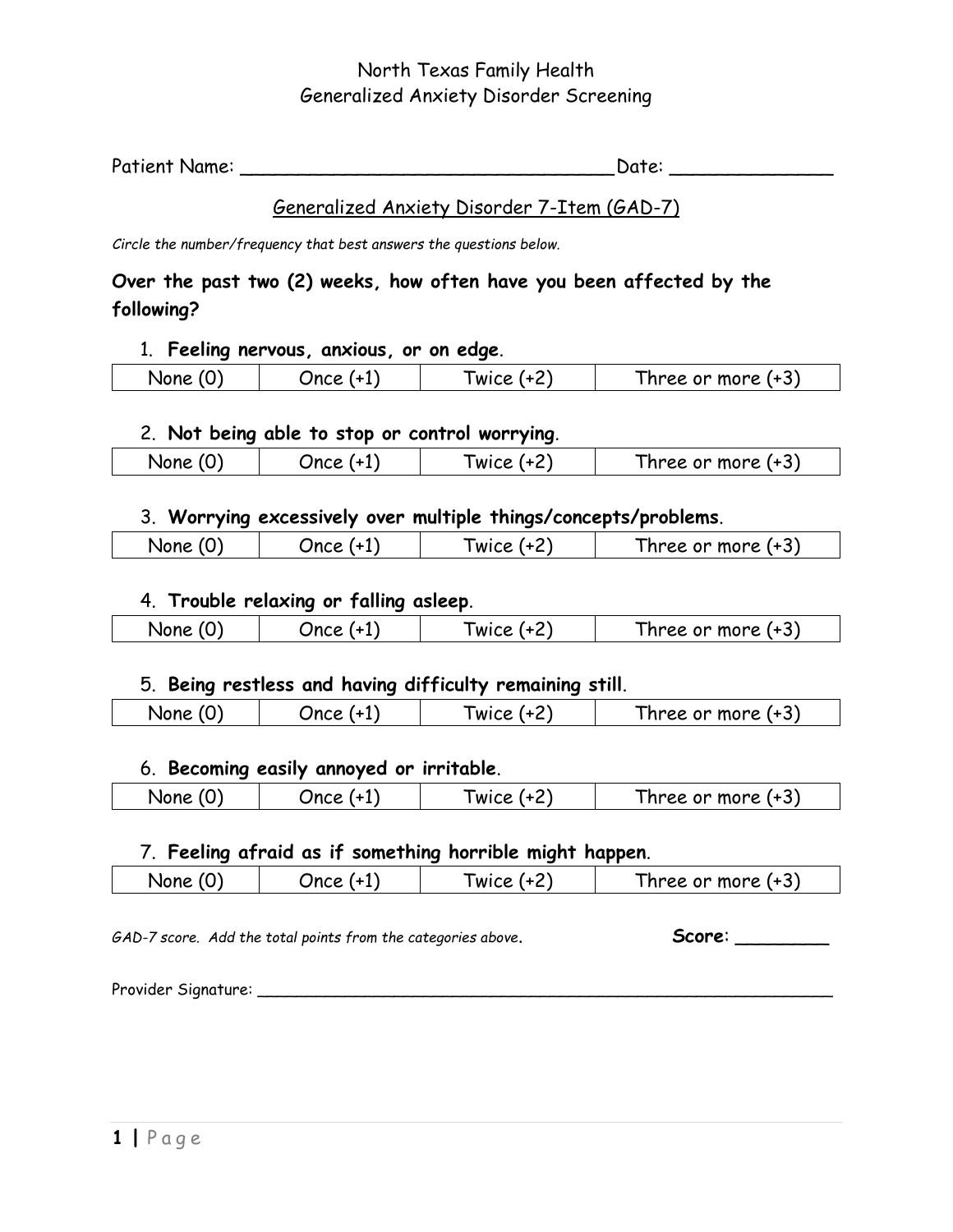# North Texas Family Health Generalized Anxiety Disorder Screening

| Patient Name: | Date: |  |
|---------------|-------|--|
|---------------|-------|--|

### Generalized Anxiety Disorder 7-Item (GAD-7)

*Circle the number/frequency that best answers the questions below.*

# **Over the past two (2) weeks, how often have you been affected by the following?**

#### 1. **Feeling nervous, anxious, or on edge**.

| __   |    |           |                                             |
|------|----|-----------|---------------------------------------------|
| None | 1n | WICE<br>- | $\sim$<br>.<br>more<br>.<br>ree<br>or:<br>W |
|      |    |           |                                             |

### 2. **Not being able to stop or control worrying**.

|    |          | __                    |                                                                       |
|----|----------|-----------------------|-----------------------------------------------------------------------|
| -- | Jn.<br>- | .,<br><b>WIC</b><br>- | $\overline{\phantom{0}}$<br>$\sim$ 12 $\sim$<br>mu<br>OL.<br>.<br>. . |
|    |          |                       |                                                                       |

# 3. **Worrying excessively over multiple things/concepts/problems**.

| None | Jnro | <b>WICE</b> | $\sim$<br>or more.<br>i nree or |
|------|------|-------------|---------------------------------|
|      |      |             |                                 |

## 4. **Trouble relaxing or falling asleep**.

| متما | WI.<br>- | ∽<br>more<br>יזר<br>26 |
|------|----------|------------------------|
|      |          |                        |

### 5. **Being restless and having difficulty remaining still**.

| None | Inra | WICE | $\sim$<br>7 + 1<br>or more<br>nree |
|------|------|------|------------------------------------|
|      |      |      |                                    |

### 6. **Becoming easily annoyed or irritable**.

| Non | Ince | w<br>- | $\overline{\phantom{a}}$<br>$\sim$ 10 $\sim$<br>mor<br>ee.<br><br>'U<br>ּשׁ<br>. .<br>. . |
|-----|------|--------|-------------------------------------------------------------------------------------------|
|     |      |        |                                                                                           |

### 7. **Feeling afraid as if something horrible might happen**.

|  | None | Jnrr<br>- | $\sim$<br>$\cdots$<br>WIC.<br>. .<br>- | $\overline{\phantom{a}}$<br>$\sim$ 12 $\sim$<br>.<br>- 2<br>mol<br>'Kt<br>- 111<br>- 11 1 |
|--|------|-----------|----------------------------------------|-------------------------------------------------------------------------------------------|
|--|------|-----------|----------------------------------------|-------------------------------------------------------------------------------------------|

*GAD-7 score. Add the total points from the categories above*. **Score**: \_\_\_\_\_\_\_\_

Provider Signature: \_\_\_\_\_\_\_\_\_\_\_\_\_\_\_\_\_\_\_\_\_\_\_\_\_\_\_\_\_\_\_\_\_\_\_\_\_\_\_\_\_\_\_\_\_\_\_\_\_\_\_\_\_\_\_\_\_\_\_